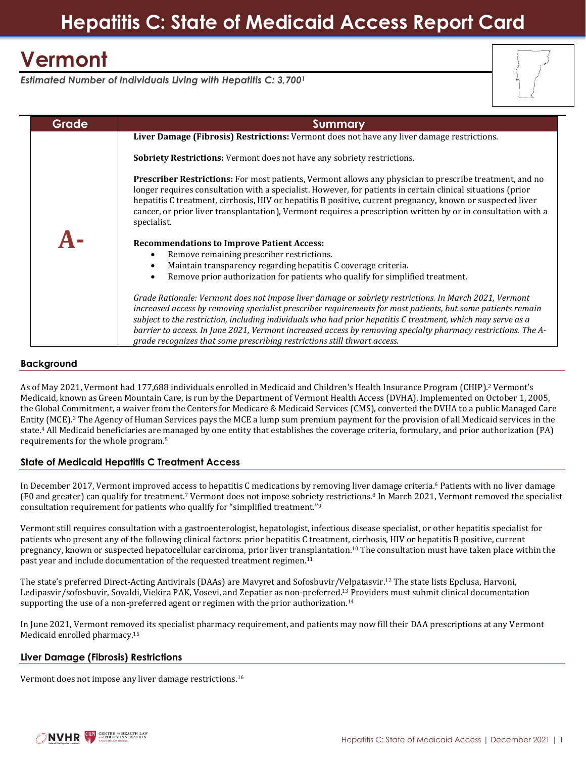# **Hepatitis C: State of Medicaid Access Report Card**

# **Vermont**

*Estimated Number of Individuals Living with Hepatitis C: 3,700<sup>1</sup>*



| Grade | <b>Summary</b>                                                                                                                                                                                                                                                                                                                                                                                                                                                                                                                    |
|-------|-----------------------------------------------------------------------------------------------------------------------------------------------------------------------------------------------------------------------------------------------------------------------------------------------------------------------------------------------------------------------------------------------------------------------------------------------------------------------------------------------------------------------------------|
|       | Liver Damage (Fibrosis) Restrictions: Vermont does not have any liver damage restrictions.                                                                                                                                                                                                                                                                                                                                                                                                                                        |
|       | <b>Sobriety Restrictions:</b> Vermont does not have any sobriety restrictions.                                                                                                                                                                                                                                                                                                                                                                                                                                                    |
|       | <b>Prescriber Restrictions:</b> For most patients, Vermont allows any physician to prescribe treatment, and no<br>longer requires consultation with a specialist. However, for patients in certain clinical situations (prior<br>hepatitis C treatment, cirrhosis, HIV or hepatitis B positive, current pregnancy, known or suspected liver<br>cancer, or prior liver transplantation), Vermont requires a prescription written by or in consultation with a<br>specialist.                                                       |
|       | <b>Recommendations to Improve Patient Access:</b><br>Remove remaining prescriber restrictions.<br>Maintain transparency regarding hepatitis C coverage criteria.<br>$\bullet$<br>Remove prior authorization for patients who qualify for simplified treatment.                                                                                                                                                                                                                                                                    |
|       | Grade Rationale: Vermont does not impose liver damage or sobriety restrictions. In March 2021, Vermont<br>increased access by removing specialist prescriber requirements for most patients, but some patients remain<br>subject to the restriction, including individuals who had prior hepatitis C treatment, which may serve as a<br>barrier to access. In June 2021, Vermont increased access by removing specialty pharmacy restrictions. The A-<br>grade recognizes that some prescribing restrictions still thwart access. |

### **Background**

As of May 2021, Vermont had 177,688 individuals enrolled in Medicaid and Children's Health Insurance Program (CHIP). <sup>2</sup> Vermont's Medicaid, known as Green Mountain Care, is run by the Department of Vermont Health Access (DVHA). Implemented on October 1, 2005, the Global Commitment, a waiver from the Centers for Medicare & Medicaid Services (CMS), converted the DVHA to a public Managed Care Entity (MCE).<sup>3</sup> The Agency of Human Services pays the MCE a lump sum premium payment for the provision of all Medicaid services in the state.<sup>4</sup> All Medicaid beneficiaries are managed by one entity that establishes the coverage criteria, formulary, and prior authorization (PA) requirements for the whole program.<sup>5</sup>

### **State of Medicaid Hepatitis C Treatment Access**

In December 2017, Vermont improved access to hepatitis C medications by removing liver damage criteria.<sup>6</sup> Patients with no liver damage (F0 and greater) can qualify for treatment.<sup>7</sup> Vermont does not impose sobriety restrictions.<sup>8</sup> In March 2021, Vermont removed the specialist consultation requirement for patients who qualify for "simplified treatment."<sup>9</sup>

Vermont still requires consultation with a gastroenterologist, hepatologist, infectious disease specialist, or other hepatitis specialist for patients who present any of the following clinical factors: prior hepatitis C treatment, cirrhosis, HIV or hepatitis B positive, current pregnancy, known or suspected hepatocellular carcinoma, prior liver transplantation. <sup>10</sup> The consultation must have taken place within the past year and include documentation of the requested treatment regimen.<sup>11</sup>

The state's preferred Direct-Acting Antivirals (DAAs) are Mavyret and Sofosbuvir/Velpatasvir.<sup>12</sup> The state lists Epclusa, Harvoni, Ledipasvir/sofosbuvir, Sovaldi, Viekira PAK, Vosevi, and Zepatier as non-preferred.<sup>13</sup> Providers must submit clinical documentation supporting the use of a non-preferred agent or regimen with the prior authorization.<sup>14</sup>

In June 2021, Vermont removed its specialist pharmacy requirement, and patients may now fill their DAA prescriptions at any Vermont Medicaid enrolled pharmacy.<sup>15</sup>

### **Liver Damage (Fibrosis) Restrictions**

Vermont does not impose any liver damage restrictions. 16